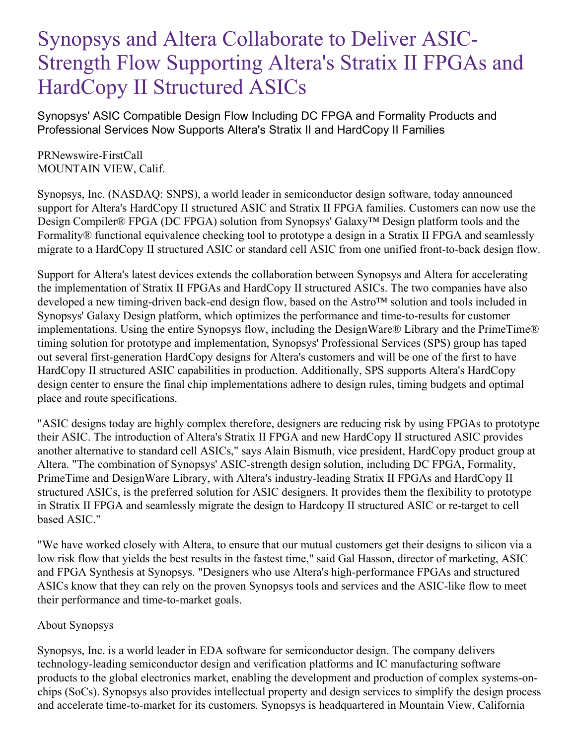## Synopsys and Altera Collaborate to Deliver ASIC-Strength Flow Supporting Altera's Stratix II FPGAs and HardCopy II Structured ASICs

Synopsys' ASIC Compatible Design Flow Including DC FPGA and Formality Products and Professional Services Now Supports Altera's Stratix II and HardCopy II Families

PRNewswire-FirstCall MOUNTAIN VIEW, Calif.

Synopsys, Inc. (NASDAQ: SNPS), a world leader in semiconductor design software, today announced support for Altera's HardCopy II structured ASIC and Stratix II FPGA families. Customers can now use the Design Compiler® FPGA (DC FPGA) solution from Synopsys' Galaxy™ Design platform tools and the Formality® functional equivalence checking tool to prototype a design in a Stratix II FPGA and seamlessly migrate to a HardCopy II structured ASIC or standard cell ASIC from one unified front-to-back design flow.

Support for Altera's latest devices extends the collaboration between Synopsys and Altera for accelerating the implementation of Stratix II FPGAs and HardCopy II structured ASICs. The two companies have also developed a new timing-driven back-end design flow, based on the Astro™ solution and tools included in Synopsys' Galaxy Design platform, which optimizes the performance and time-to-results for customer implementations. Using the entire Synopsys flow, including the DesignWare® Library and the PrimeTime® timing solution for prototype and implementation, Synopsys' Professional Services (SPS) group has taped out several first-generation HardCopy designs for Altera's customers and will be one of the first to have HardCopy II structured ASIC capabilities in production. Additionally, SPS supports Altera's HardCopy design center to ensure the final chip implementations adhere to design rules, timing budgets and optimal place and route specifications.

"ASIC designs today are highly complex therefore, designers are reducing risk by using FPGAs to prototype their ASIC. The introduction of Altera's Stratix II FPGA and new HardCopy II structured ASIC provides another alternative to standard cell ASICs," says Alain Bismuth, vice president, HardCopy product group at Altera. "The combination of Synopsys' ASIC-strength design solution, including DC FPGA, Formality, PrimeTime and DesignWare Library, with Altera's industry-leading Stratix II FPGAs and HardCopy II structured ASICs, is the preferred solution for ASIC designers. It provides them the flexibility to prototype in Stratix II FPGA and seamlessly migrate the design to Hardcopy II structured ASIC or re-target to cell based ASIC."

"We have worked closely with Altera, to ensure that our mutual customers get their designs to silicon via a low risk flow that yields the best results in the fastest time," said Gal Hasson, director of marketing, ASIC and FPGA Synthesis at Synopsys. "Designers who use Altera's high-performance FPGAs and structured ASICs know that they can rely on the proven Synopsys tools and services and the ASIC-like flow to meet their performance and time-to-market goals.

## About Synopsys

Synopsys, Inc. is a world leader in EDA software for semiconductor design. The company delivers technology-leading semiconductor design and verification platforms and IC manufacturing software products to the global electronics market, enabling the development and production of complex systems-onchips (SoCs). Synopsys also provides intellectual property and design services to simplify the design process and accelerate time-to-market for its customers. Synopsys is headquartered in Mountain View, California